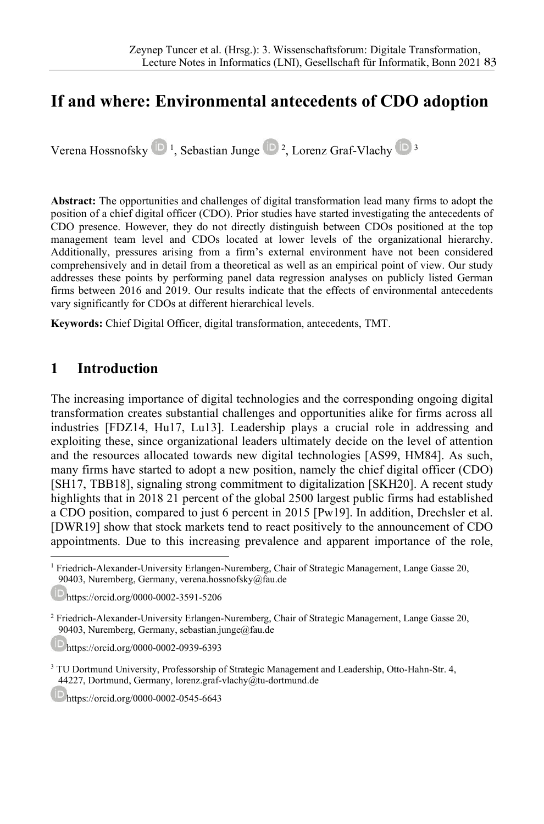## If and where: Environmental antecedents of CDO adoption

Verena Hossnofsky <sup>1</sup>, Sebastian Junge <sup>1</sup>, Lorenz Graf-Vlachy <sup>19</sup>

Abstract: The opportunities and challenges of digital transformation lead many firms to adopt the position of a chief digital officer (CDO). Prior studies have started investigating the antecedents of CDO presence. However, they do not directly distinguish between CDOs positioned at the top management team level and CDOs located at lower levels of the organizational hierarchy. Additionally, pressures arising from a firm's external environment have not been considered comprehensively and in detail from a theoretical as well as an empirical point of view. Our study addresses these points by performing panel data regression analyses on publicly listed German firms between 2016 and 2019. Our results indicate that the effects of environmental antecedents vary significantly for CDOs at different hierarchical levels.

Keywords: Chief Digital Officer, digital transformation, antecedents, TMT.

### 1 Introduction

The increasing importance of digital technologies and the corresponding ongoing digital transformation creates substantial challenges and opportunities alike for firms across all industries [FDZ14, Hu17, Lu13]. Leadership plays a crucial role in addressing and exploiting these, since organizational leaders ultimately decide on the level of attention and the resources allocated towards new digital technologies [AS99, HM84]. As such, many firms have started to adopt a new position, namely the chief digital officer (CDO) [SH17, TBB18], signaling strong commitment to digitalization [SKH20]. A recent study highlights that in 2018 21 percent of the global 2500 largest public firms had established a CDO position, compared to just 6 percent in 2015 [Pw19]. In addition, Drechsler et al. [DWR19] show that stock markets tend to react positively to the announcement of CDO appointments. Due to this increasing prevalence and apparent importance of the role,

https://orcid.org/0000-0002-0939-6393

https://orcid.org/0000-0002-0545-6643

<sup>&</sup>lt;sup>1</sup> Friedrich-Alexander-University Erlangen-Nuremberg, Chair of Strategic Management, Lange Gasse 20, 90403, Nuremberg, Germany, verena.hossnofsky@fau.de

https://orcid.org/0000-0002-3591-5206

<sup>&</sup>lt;sup>2</sup> Friedrich-Alexander-University Erlangen-Nuremberg, Chair of Strategic Management, Lange Gasse 20, 90403, Nuremberg, Germany, sebastian.junge@fau.de

<sup>&</sup>lt;sup>3</sup> TU Dortmund University, Professorship of Strategic Management and Leadership, Otto-Hahn-Str. 4, 44227, Dortmund, Germany, lorenz.graf-vlachy@tu-dortmund.de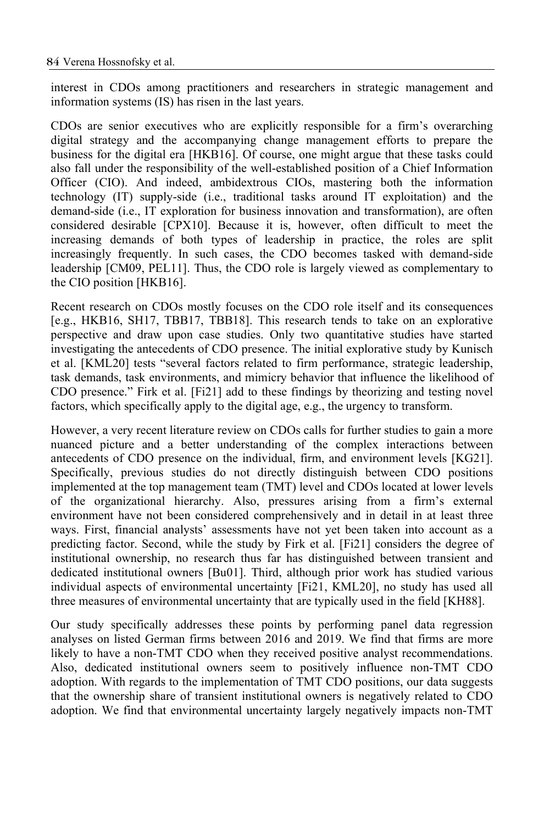interest in CDOs among practitioners and researchers in strategic management and information systems (IS) has risen in the last years.

CDOs are senior executives who are explicitly responsible for a firm's overarching digital strategy and the accompanying change management efforts to prepare the business for the digital era [HKB16]. Of course, one might argue that these tasks could also fall under the responsibility of the well-established position of a Chief Information Officer (CIO). And indeed, ambidextrous CIOs, mastering both the information technology (IT) supply-side (i.e., traditional tasks around IT exploitation) and the demand-side (i.e., IT exploration for business innovation and transformation), are often considered desirable [CPX10]. Because it is, however, often difficult to meet the increasing demands of both types of leadership in practice, the roles are split increasingly frequently. In such cases, the CDO becomes tasked with demand-side leadership [CM09, PEL11]. Thus, the CDO role is largely viewed as complementary to the CIO position [HKB16].

Recent research on CDOs mostly focuses on the CDO role itself and its consequences [e.g., HKB16, SH17, TBB17, TBB18]. This research tends to take on an explorative perspective and draw upon case studies. Only two quantitative studies have started investigating the antecedents of CDO presence. The initial explorative study by Kunisch et al. [KML20] tests "several factors related to firm performance, strategic leadership, task demands, task environments, and mimicry behavior that influence the likelihood of CDO presence." Firk et al. [Fi21] add to these findings by theorizing and testing novel factors, which specifically apply to the digital age, e.g., the urgency to transform.

However, a very recent literature review on CDOs calls for further studies to gain a more nuanced picture and a better understanding of the complex interactions between antecedents of CDO presence on the individual, firm, and environment levels [KG21]. Specifically, previous studies do not directly distinguish between CDO positions implemented at the top management team (TMT) level and CDOs located at lower levels of the organizational hierarchy. Also, pressures arising from a firm's external environment have not been considered comprehensively and in detail in at least three ways. First, financial analysts' assessments have not yet been taken into account as a predicting factor. Second, while the study by Firk et al. [Fi21] considers the degree of institutional ownership, no research thus far has distinguished between transient and dedicated institutional owners [Bu01]. Third, although prior work has studied various individual aspects of environmental uncertainty [Fi21, KML20], no study has used all three measures of environmental uncertainty that are typically used in the field [KH88].

Our study specifically addresses these points by performing panel data regression analyses on listed German firms between 2016 and 2019. We find that firms are more likely to have a non-TMT CDO when they received positive analyst recommendations. Also, dedicated institutional owners seem to positively influence non-TMT CDO adoption. With regards to the implementation of TMT CDO positions, our data suggests that the ownership share of transient institutional owners is negatively related to CDO adoption. We find that environmental uncertainty largely negatively impacts non-TMT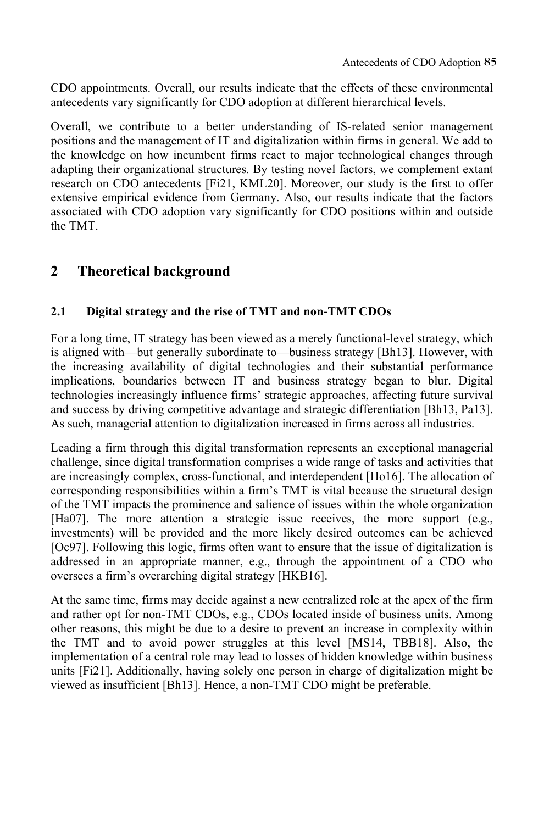CDO appointments. Overall, our results indicate that the effects of these environmental antecedents vary significantly for CDO adoption at different hierarchical levels.

Overall, we contribute to a better understanding of IS-related senior management positions and the management of IT and digitalization within firms in general. We add to the knowledge on how incumbent firms react to major technological changes through adapting their organizational structures. By testing novel factors, we complement extant research on CDO antecedents [Fi21, KML20]. Moreover, our study is the first to offer extensive empirical evidence from Germany. Also, our results indicate that the factors associated with CDO adoption vary significantly for CDO positions within and outside the TMT.

### 2 Theoretical background

#### 2.1 Digital strategy and the rise of TMT and non-TMT CDOs

For a long time, IT strategy has been viewed as a merely functional-level strategy, which is aligned with—but generally subordinate to—business strategy [Bh13]. However, with the increasing availability of digital technologies and their substantial performance implications, boundaries between IT and business strategy began to blur. Digital technologies increasingly influence firms' strategic approaches, affecting future survival and success by driving competitive advantage and strategic differentiation [Bh13, Pa13]. As such, managerial attention to digitalization increased in firms across all industries.

Leading a firm through this digital transformation represents an exceptional managerial challenge, since digital transformation comprises a wide range of tasks and activities that are increasingly complex, cross-functional, and interdependent [Ho16]. The allocation of corresponding responsibilities within a firm's TMT is vital because the structural design of the TMT impacts the prominence and salience of issues within the whole organization [Ha07]. The more attention a strategic issue receives, the more support (e.g., investments) will be provided and the more likely desired outcomes can be achieved [Oc97]. Following this logic, firms often want to ensure that the issue of digitalization is addressed in an appropriate manner, e.g., through the appointment of a CDO who oversees a firm's overarching digital strategy [HKB16].

At the same time, firms may decide against a new centralized role at the apex of the firm and rather opt for non-TMT CDOs, e.g., CDOs located inside of business units. Among other reasons, this might be due to a desire to prevent an increase in complexity within the TMT and to avoid power struggles at this level [MS14, TBB18]. Also, the implementation of a central role may lead to losses of hidden knowledge within business units [Fi21]. Additionally, having solely one person in charge of digitalization might be viewed as insufficient [Bh13]. Hence, a non-TMT CDO might be preferable.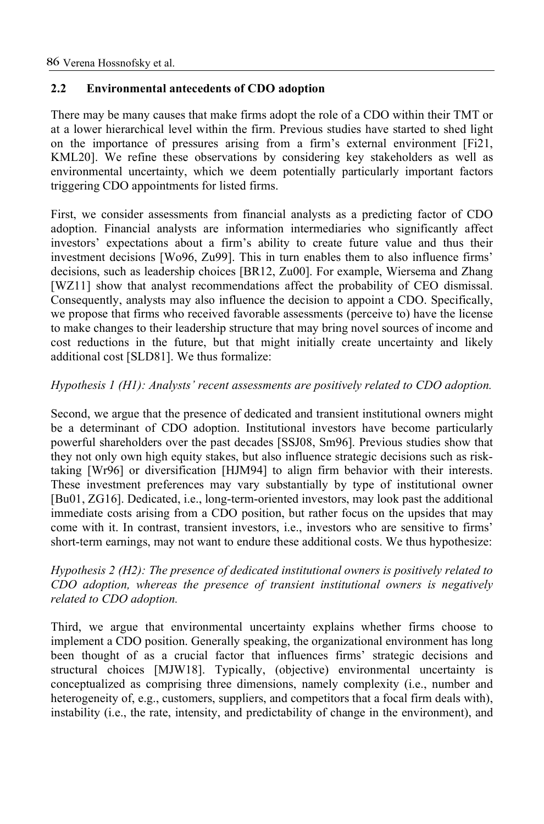#### 2.2 Environmental antecedents of CDO adoption

There may be many causes that make firms adopt the role of a CDO within their TMT or at a lower hierarchical level within the firm. Previous studies have started to shed light on the importance of pressures arising from a firm's external environment [Fi21, KML20]. We refine these observations by considering key stakeholders as well as environmental uncertainty, which we deem potentially particularly important factors triggering CDO appointments for listed firms.

First, we consider assessments from financial analysts as a predicting factor of CDO adoption. Financial analysts are information intermediaries who significantly affect investors' expectations about a firm's ability to create future value and thus their investment decisions [Wo96, Zu99]. This in turn enables them to also influence firms' decisions, such as leadership choices [BR12, Zu00]. For example, Wiersema and Zhang [WZ11] show that analyst recommendations affect the probability of CEO dismissal. Consequently, analysts may also influence the decision to appoint a CDO. Specifically, we propose that firms who received favorable assessments (perceive to) have the license to make changes to their leadership structure that may bring novel sources of income and cost reductions in the future, but that might initially create uncertainty and likely additional cost [SLD81]. We thus formalize:

#### Hypothesis 1 (H1): Analysts' recent assessments are positively related to CDO adoption.

Second, we argue that the presence of dedicated and transient institutional owners might be a determinant of CDO adoption. Institutional investors have become particularly powerful shareholders over the past decades [SSJ08, Sm96]. Previous studies show that they not only own high equity stakes, but also influence strategic decisions such as risktaking [Wr96] or diversification [HJM94] to align firm behavior with their interests. These investment preferences may vary substantially by type of institutional owner [Bu01, ZG16]. Dedicated, i.e., long-term-oriented investors, may look past the additional immediate costs arising from a CDO position, but rather focus on the upsides that may come with it. In contrast, transient investors, i.e., investors who are sensitive to firms' short-term earnings, may not want to endure these additional costs. We thus hypothesize:

Hypothesis 2 (H2): The presence of dedicated institutional owners is positively related to CDO adoption, whereas the presence of transient institutional owners is negatively related to CDO adoption.

Third, we argue that environmental uncertainty explains whether firms choose to implement a CDO position. Generally speaking, the organizational environment has long been thought of as a crucial factor that influences firms' strategic decisions and structural choices [MJW18]. Typically, (objective) environmental uncertainty is conceptualized as comprising three dimensions, namely complexity (i.e., number and heterogeneity of, e.g., customers, suppliers, and competitors that a focal firm deals with), instability (i.e., the rate, intensity, and predictability of change in the environment), and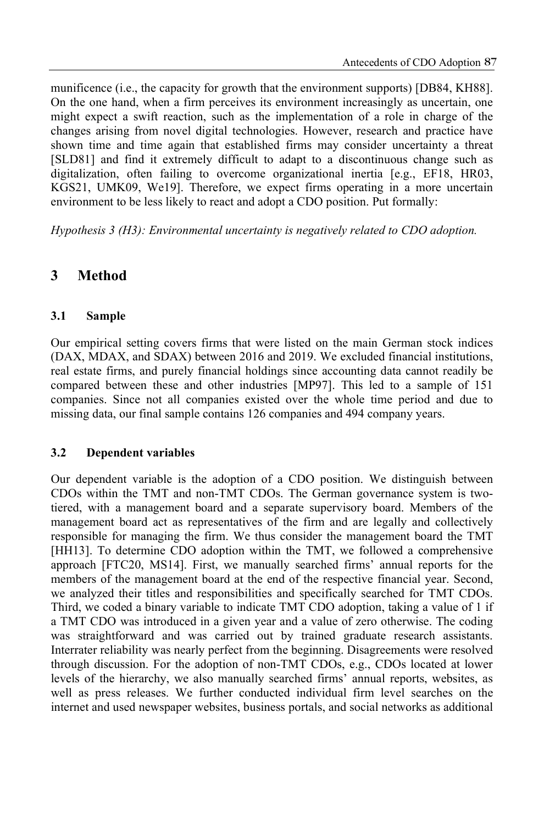munificence (i.e., the capacity for growth that the environment supports) [DB84, KH88]. On the one hand, when a firm perceives its environment increasingly as uncertain, one might expect a swift reaction, such as the implementation of a role in charge of the changes arising from novel digital technologies. However, research and practice have shown time and time again that established firms may consider uncertainty a threat [SLD81] and find it extremely difficult to adapt to a discontinuous change such as digitalization, often failing to overcome organizational inertia [e.g., EF18, HR03, KGS21, UMK09, We19]. Therefore, we expect firms operating in a more uncertain environment to be less likely to react and adopt a CDO position. Put formally:

Hypothesis 3 (H3): Environmental uncertainty is negatively related to CDO adoption.

## 3 Method

#### 3.1 Sample

Our empirical setting covers firms that were listed on the main German stock indices (DAX, MDAX, and SDAX) between 2016 and 2019. We excluded financial institutions, real estate firms, and purely financial holdings since accounting data cannot readily be compared between these and other industries [MP97]. This led to a sample of 151 companies. Since not all companies existed over the whole time period and due to missing data, our final sample contains 126 companies and 494 company years.

#### 3.2 Dependent variables

Our dependent variable is the adoption of a CDO position. We distinguish between CDOs within the TMT and non-TMT CDOs. The German governance system is twotiered, with a management board and a separate supervisory board. Members of the management board act as representatives of the firm and are legally and collectively responsible for managing the firm. We thus consider the management board the TMT [HH13]. To determine CDO adoption within the TMT, we followed a comprehensive approach [FTC20, MS14]. First, we manually searched firms' annual reports for the members of the management board at the end of the respective financial year. Second, we analyzed their titles and responsibilities and specifically searched for TMT CDOs. Third, we coded a binary variable to indicate TMT CDO adoption, taking a value of 1 if a TMT CDO was introduced in a given year and a value of zero otherwise. The coding was straightforward and was carried out by trained graduate research assistants. Interrater reliability was nearly perfect from the beginning. Disagreements were resolved through discussion. For the adoption of non-TMT CDOs, e.g., CDOs located at lower levels of the hierarchy, we also manually searched firms' annual reports, websites, as well as press releases. We further conducted individual firm level searches on the internet and used newspaper websites, business portals, and social networks as additional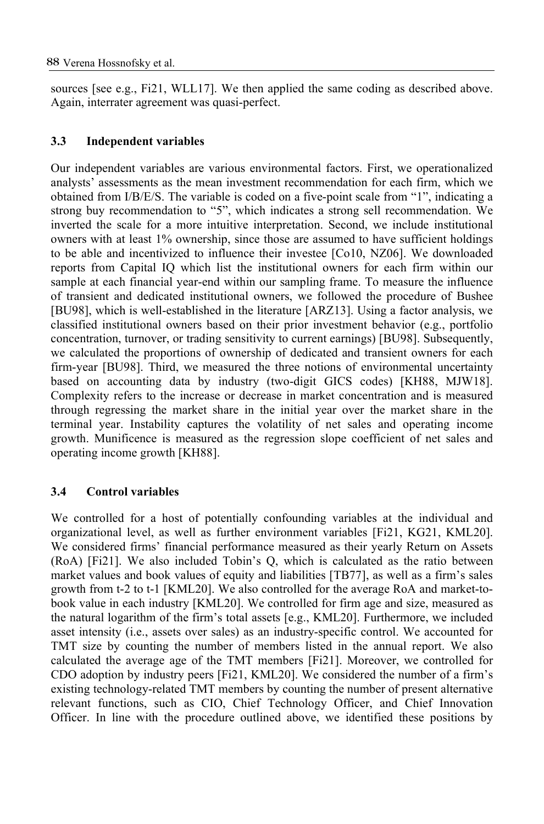sources [see e.g., Fi21, WLL17]. We then applied the same coding as described above. Again, interrater agreement was quasi-perfect.

#### 3.3 Independent variables

Our independent variables are various environmental factors. First, we operationalized analysts' assessments as the mean investment recommendation for each firm, which we obtained from I/B/E/S. The variable is coded on a five-point scale from "1", indicating a strong buy recommendation to "5", which indicates a strong sell recommendation. We inverted the scale for a more intuitive interpretation. Second, we include institutional owners with at least 1% ownership, since those are assumed to have sufficient holdings to be able and incentivized to influence their investee [Co10, NZ06]. We downloaded reports from Capital IQ which list the institutional owners for each firm within our sample at each financial year-end within our sampling frame. To measure the influence of transient and dedicated institutional owners, we followed the procedure of Bushee [BU98], which is well-established in the literature [ARZ13]. Using a factor analysis, we classified institutional owners based on their prior investment behavior (e.g., portfolio concentration, turnover, or trading sensitivity to current earnings) [BU98]. Subsequently, we calculated the proportions of ownership of dedicated and transient owners for each firm-year [BU98]. Third, we measured the three notions of environmental uncertainty based on accounting data by industry (two-digit GICS codes) [KH88, MJW18]. Complexity refers to the increase or decrease in market concentration and is measured through regressing the market share in the initial year over the market share in the terminal year. Instability captures the volatility of net sales and operating income growth. Munificence is measured as the regression slope coefficient of net sales and operating income growth [KH88].

#### 3.4 Control variables

We controlled for a host of potentially confounding variables at the individual and organizational level, as well as further environment variables [Fi21, KG21, KML20]. We considered firms' financial performance measured as their yearly Return on Assets (RoA) [Fi21]. We also included Tobin's Q, which is calculated as the ratio between market values and book values of equity and liabilities [TB77], as well as a firm's sales growth from t-2 to t-1 [KML20]. We also controlled for the average RoA and market-tobook value in each industry [KML20]. We controlled for firm age and size, measured as the natural logarithm of the firm's total assets [e.g., KML20]. Furthermore, we included asset intensity (i.e., assets over sales) as an industry-specific control. We accounted for TMT size by counting the number of members listed in the annual report. We also calculated the average age of the TMT members [Fi21]. Moreover, we controlled for CDO adoption by industry peers [Fi21, KML20]. We considered the number of a firm's existing technology-related TMT members by counting the number of present alternative relevant functions, such as CIO, Chief Technology Officer, and Chief Innovation Officer. In line with the procedure outlined above, we identified these positions by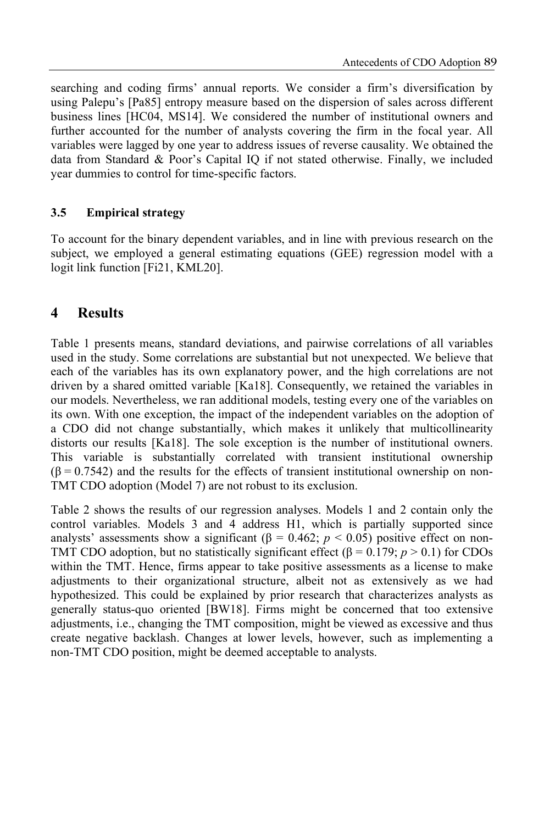searching and coding firms' annual reports. We consider a firm's diversification by using Palepu's [Pa85] entropy measure based on the dispersion of sales across different business lines [HC04, MS14]. We considered the number of institutional owners and further accounted for the number of analysts covering the firm in the focal year. All variables were lagged by one year to address issues of reverse causality. We obtained the data from Standard & Poor's Capital IQ if not stated otherwise. Finally, we included year dummies to control for time-specific factors.

#### 3.5 Empirical strategy

To account for the binary dependent variables, and in line with previous research on the subject, we employed a general estimating equations (GEE) regression model with a logit link function [Fi21, KML20].

### 4 Results

Table 1 presents means, standard deviations, and pairwise correlations of all variables used in the study. Some correlations are substantial but not unexpected. We believe that each of the variables has its own explanatory power, and the high correlations are not driven by a shared omitted variable [Ka18]. Consequently, we retained the variables in our models. Nevertheless, we ran additional models, testing every one of the variables on its own. With one exception, the impact of the independent variables on the adoption of a CDO did not change substantially, which makes it unlikely that multicollinearity distorts our results [Ka18]. The sole exception is the number of institutional owners. This variable is substantially correlated with transient institutional ownership  $(\beta = 0.7542)$  and the results for the effects of transient institutional ownership on non-TMT CDO adoption (Model 7) are not robust to its exclusion.

Table 2 shows the results of our regression analyses. Models 1 and 2 contain only the control variables. Models 3 and 4 address H1, which is partially supported since analysts' assessments show a significant ( $\beta = 0.462$ ;  $p < 0.05$ ) positive effect on non-TMT CDO adoption, but no statistically significant effect ( $\beta = 0.179$ ;  $p > 0.1$ ) for CDOs within the TMT. Hence, firms appear to take positive assessments as a license to make adjustments to their organizational structure, albeit not as extensively as we had hypothesized. This could be explained by prior research that characterizes analysts as generally status-quo oriented [BW18]. Firms might be concerned that too extensive adjustments, i.e., changing the TMT composition, might be viewed as excessive and thus create negative backlash. Changes at lower levels, however, such as implementing a non-TMT CDO position, might be deemed acceptable to analysts.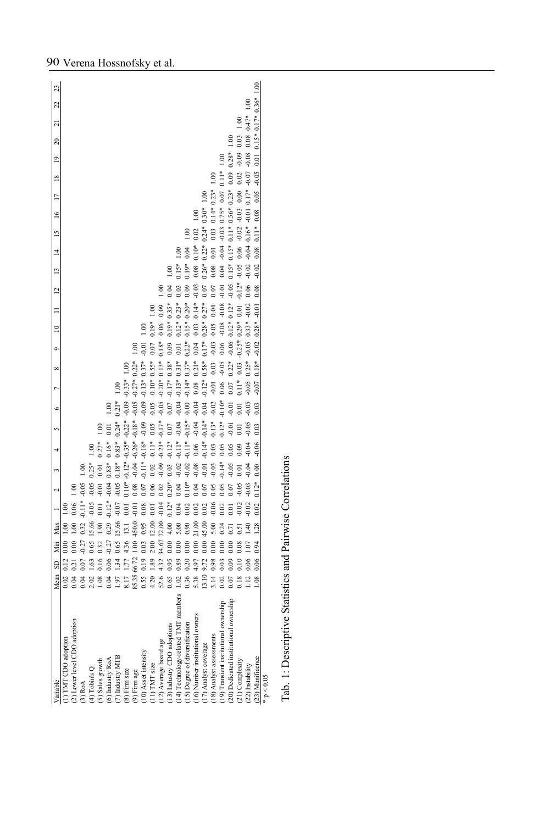| Variable                               | Mean             | SD              | Min Max        |                        |                      |          |                       |                 |           |                 |               | ō               | $\equiv$                   | $\equiv$ | $\overline{2}$ | $\overline{13}$ | $\frac{5}{2}$<br>$\overline{4}$                                                 | $\leq$    | $\overline{1}$         | $\frac{8}{16}$ | $\overline{9}$ | $\approx$               | ಸ    | 22 | 23 |
|----------------------------------------|------------------|-----------------|----------------|------------------------|----------------------|----------|-----------------------|-----------------|-----------|-----------------|---------------|-----------------|----------------------------|----------|----------------|-----------------|---------------------------------------------------------------------------------|-----------|------------------------|----------------|----------------|-------------------------|------|----|----|
| (1) TMT CDO adoption                   | 0.02             | $0.12 \t0.00$   |                | $\frac{8}{1}$          |                      |          |                       |                 |           |                 |               |                 |                            |          |                |                 |                                                                                 |           |                        |                |                |                         |      |    |    |
| (2) Lower level CDO adoption           | 0.04             | 0.00<br>0.21    |                | 0.06<br>$\frac{8}{10}$ | 1.00                 |          |                       |                 |           |                 |               |                 |                            |          |                |                 |                                                                                 |           |                        |                |                |                         |      |    |    |
| $(3)$ RoA                              | 0.04             | $-0.27$<br>0.07 |                | 0.32                   | $-0.11* -0.05$       | 1.00     |                       |                 |           |                 |               |                 |                            |          |                |                 |                                                                                 |           |                        |                |                |                         |      |    |    |
| $(4)$ Tobin's Q                        | 2.02             | 1.63 0.65       |                | $-0.05$<br>15.66       | $-0.05$              | $0.25*$  |                       |                 |           |                 |               |                 |                            |          |                |                 |                                                                                 |           |                        |                |                |                         |      |    |    |
| (5) Sales growth                       | 0.08             | 0.16 0.32       |                | 0.01<br>$\frac{8}{2}$  | $-0.01$              | 0.01     | $0.27*$               | $\approx$       |           |                 |               |                 |                            |          |                |                 |                                                                                 |           |                        |                |                |                         |      |    |    |
| (6) Industry RoA                       | 0.04             | $-0.27$<br>0.06 |                | 0.29                   | $-0.12* -0.04$ 0.83* |          | $0.16*$               | 0.01            | $\approx$ |                 |               |                 |                            |          |                |                 |                                                                                 |           |                        |                |                |                         |      |    |    |
| 7) Industry MTB                        | 1.97             | 1.34 0.65       |                | $-0.07$<br>15.66       | $-0.05$              | $0.18*$  | $0.83*$               | $0.24*$         | $0.21*$   |                 |               |                 |                            |          |                |                 |                                                                                 |           |                        |                |                |                         |      |    |    |
| (8) Firm size                          | 8.17 1.77 4.36   |                 |                | 0.01<br>13.1           |                      |          | $0.10* -0.12* -0.35*$ | $-0.22*$        |           | $-0.09 - 0.33*$ | 1.00          |                 |                            |          |                |                 |                                                                                 |           |                        |                |                |                         |      |    |    |
| (9) Firm age                           | 85.35 66.72 1.00 |                 | 450.0          | $-0.01$                | 0.08                 |          | $-0.04$ $-0.26*$      | $-0.18*$        | $-0.05$   |                 | $-0.27*0.22*$ | $^{0.1}$        |                            |          |                |                 |                                                                                 |           |                        |                |                |                         |      |    |    |
| 10) Asset intensity                    | 0.55 0.19 0.03   |                 |                | 0.08<br>0.95           | 0.07                 |          | $-0.11* -0.16*$       | $-0.09$         | $-0.09$   | $-0.13*$        | $0.37*$       | $-0.01$         | 0.00                       |          |                |                 |                                                                                 |           |                        |                |                |                         |      |    |    |
| $(11)$ TMT size                        | 4.20 1.89        | 2.00            | 12.00          | 0.01                   |                      | 0.02     | $\frac{1}{2}$         | 0.05            | 0.05      | $-0.10*$        | $0.55*$       | 0.07            | $0.19*$                    | 1.00     |                |                 |                                                                                 |           |                        |                |                |                         |      |    |    |
| 12) Average board age                  | 52.6 4.32        |                 | 34.67 72.00    | $-0.04$                | 0.02                 | $-0.09$  | $-0.23*$              | $-0.17*$        | $-0.05$   | $-0.20*$        | $0.13*$       | $0.18*$         | 0.06                       | 0.09     | $\approx$      |                 |                                                                                 |           |                        |                |                |                         |      |    |    |
| (13) Industry CDO adoptions            | 0.65             | $0.95$ 0.00     | 4.00           | $0.12*$                | $0.20*$              | 0.03     | $-0.12*$              | 0.07            | 0.07      |                 | $-0.17*0.38*$ | 0.09            | $0.19*$                    | $0.35*$  | 0.04           | ξ               |                                                                                 |           |                        |                |                |                         |      |    |    |
| 14) Technology-related TMT members     | 1.02 0.89 0.00   |                 | 5.00           | 0.04                   | 0.04                 | $-0.02$  | $\frac{1}{2}$         | 0.04            | $-0.04$   | $-0.13*$        | $.81*$        | 0.01            | $0.12*$                    | $0.23*$  | 0.03           | $0.15*$         | $^{00}$                                                                         |           |                        |                |                |                         |      |    |    |
| (15) Degree of diversification         | 0.36             | 0.00<br>0.20    | 0.90           | 0.02                   | $0.10*$              | $-0.02$  |                       | $-0.11* -0.15*$ | 0.00      |                 | $-0.14*0.37*$ | $0.22*$         | $0.15*0.20*$               |          | 0.09           | $0.19*$         | 0.04                                                                            | $\approx$ |                        |                |                |                         |      |    |    |
| 16) Number institutional owners        | 5.38             | 4.97 0.00       | 21.00          | 0.02                   | 0.04                 | $-0.08$  | 0.06                  | $\frac{4}{3}$   | $-0.04$   | 0.08            | $0.21*$       | 0.04            | 0.03                       | $0.14*$  | $-0.03$        | 0.08            | 0.02<br>$0.10*$                                                                 | 1.00      |                        |                |                |                         |      |    |    |
| 17) Analyst coverage                   | $13.10$ $9.72$   |                 | 0.0045.00      | 0.02                   | 0.07                 | $-0.01$  |                       | $-0.14* -0.14*$ | 0.04      | $-0.12*$        | $0.58*$       | $0.17*$         | $0.28*$                    | $0.27*$  | 0.07           | $0.26*$         | $0.22*$                                                                         |           | $0.24*0.30*1.00$       |                |                |                         |      |    |    |
| 18) Analyst assessments                | 0.98<br>3.14     | 0.00            | 5.00           | $-0.06$                |                      | $-0.03$  | 0.03                  | $0.13*$         | $-0.02$   | $-0.01$         | 0.03          | $-0.03$         | 0.05                       | 0.04     | 0.07           | 0.08            | 0.01                                                                            |           | $0.03$ $0.14*$ $0.23*$ | 1.00           |                |                         |      |    |    |
| 19) Transient institutional ownership  | 0.02             | 0.00<br>0.03    | 0.24           | 0.02                   | 0.05                 | $-0.14*$ | 0.05                  | $0.12*$         | $-0.10*$  | 0.06            | $-0.05$       | 0.06            | $-0.08$                    | $-0.08$  | 0.01           | 0.04            | $-0.04 - 0.03$ 0.75* 0.07                                                       |           |                        |                | $0.11*1.00$    |                         |      |    |    |
| (20) Dedicated institutional ownership | 0.07             | 0.00<br>0.09    | $\overline{1}$ | $\overline{0}$         |                      | $-0.05$  | 0.05                  | 0.01            | $-0.01$   |                 | $0.22*$       | $-0.06$         | $0.12*$                    | $0.12*$  | $-0.05$        | $0.15*$         | $0.15*$                                                                         |           | $0.11*0.56*0.23*$      | 0.09           | $0.28*$        | 1.00                    |      |    |    |
| (21) Complexity                        | 0.18             | 0.08<br>0.10    | 51             |                        | $-0.05$              | 0.01     | 0.09                  | 0.01            | 0.01      | $0.11*$         | 0.03          | $-0.25*0.29*$   |                            | 0.01     | $-0.12*$       | $-0.05$         | $0.06 - 0.02 - 0.03$                                                            |           | 0.00                   | 0.02           | $-0.09$        | 0.03                    | 1.00 |    |    |
| $(22)$ Instability                     | $\frac{12}{11}$  | $0.06$ 1.07     |                | $-0.02$<br>1.40        | $-0.03$              | $-0.04$  | $-0.04$               | $-0.05$         | $-0.05$   | $-0.05$         | $0.25*$       | $-0.05$ $0.33*$ |                            | $-0.02$  | 0.06           | $-0.02$         | $-0.04$ $0.16*$ $-0.01$ $0.17*$                                                 |           |                        | $-0.07$        |                | $-0.08$ 0.08 0.47* 1.00 |      |    |    |
| (23) Munificence                       | $\frac{8}{2}$    | 0.06 0.94 1.28  |                | 0.02                   | $0.12*$              | 0.00     | $-0.06$               | 0.03            | 0.03      | $-0.07$         | $0.18*$       |                 | $-0.02$ $0.28* -0.01$ 0.08 |          |                |                 | $-0.02$ $0.08$ $0.11*$ $0.08$ $0.05$ $-0.05$ $0.01$ $0.15*$ $0.17*$ $0.36*$ 1.0 |           |                        |                |                |                         |      |    |    |
| * $p < 0.05$                           |                  |                 |                |                        |                      |          |                       |                 |           |                 |               |                 |                            |          |                |                 |                                                                                 |           |                        |                |                |                         |      |    |    |

Tab. 1: Descriptive Statistics and Pairwise Correlations Tab. 1: Descriptive Statistics and Pairwise Correlations

# 90 Verena Hossnofsky et al.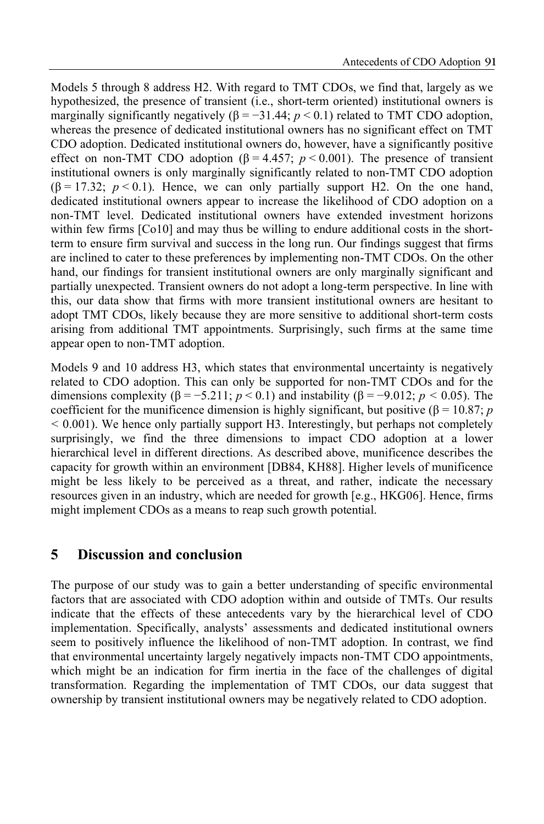Models 5 through 8 address H2. With regard to TMT CDOs, we find that, largely as we hypothesized, the presence of transient (i.e., short-term oriented) institutional owners is marginally significantly negatively ( $\beta = -31.44$ ;  $p < 0.1$ ) related to TMT CDO adoption, whereas the presence of dedicated institutional owners has no significant effect on TMT CDO adoption. Dedicated institutional owners do, however, have a significantly positive effect on non-TMT CDO adoption ( $\beta$  = 4.457; p < 0.001). The presence of transient institutional owners is only marginally significantly related to non-TMT CDO adoption  $(\beta = 17.32; p < 0.1)$ . Hence, we can only partially support H2. On the one hand, dedicated institutional owners appear to increase the likelihood of CDO adoption on a non-TMT level. Dedicated institutional owners have extended investment horizons within few firms [Co10] and may thus be willing to endure additional costs in the shortterm to ensure firm survival and success in the long run. Our findings suggest that firms are inclined to cater to these preferences by implementing non-TMT CDOs. On the other hand, our findings for transient institutional owners are only marginally significant and partially unexpected. Transient owners do not adopt a long-term perspective. In line with this, our data show that firms with more transient institutional owners are hesitant to adopt TMT CDOs, likely because they are more sensitive to additional short-term costs arising from additional TMT appointments. Surprisingly, such firms at the same time appear open to non-TMT adoption.

Models 9 and 10 address H3, which states that environmental uncertainty is negatively related to CDO adoption. This can only be supported for non-TMT CDOs and for the dimensions complexity ( $\beta = -5.211$ ;  $p < 0.1$ ) and instability ( $\beta = -9.012$ ;  $p < 0.05$ ). The coefficient for the munificence dimension is highly significant, but positive ( $\beta = 10.87$ ; p  $< 0.001$ ). We hence only partially support H3. Interestingly, but perhaps not completely surprisingly, we find the three dimensions to impact CDO adoption at a lower hierarchical level in different directions. As described above, munificence describes the capacity for growth within an environment [DB84, KH88]. Higher levels of munificence might be less likely to be perceived as a threat, and rather, indicate the necessary resources given in an industry, which are needed for growth [e.g., HKG06]. Hence, firms might implement CDOs as a means to reap such growth potential.

### 5 Discussion and conclusion

The purpose of our study was to gain a better understanding of specific environmental factors that are associated with CDO adoption within and outside of TMTs. Our results indicate that the effects of these antecedents vary by the hierarchical level of CDO implementation. Specifically, analysts' assessments and dedicated institutional owners seem to positively influence the likelihood of non-TMT adoption. In contrast, we find that environmental uncertainty largely negatively impacts non-TMT CDO appointments, which might be an indication for firm inertia in the face of the challenges of digital transformation. Regarding the implementation of TMT CDOs, our data suggest that ownership by transient institutional owners may be negatively related to CDO adoption.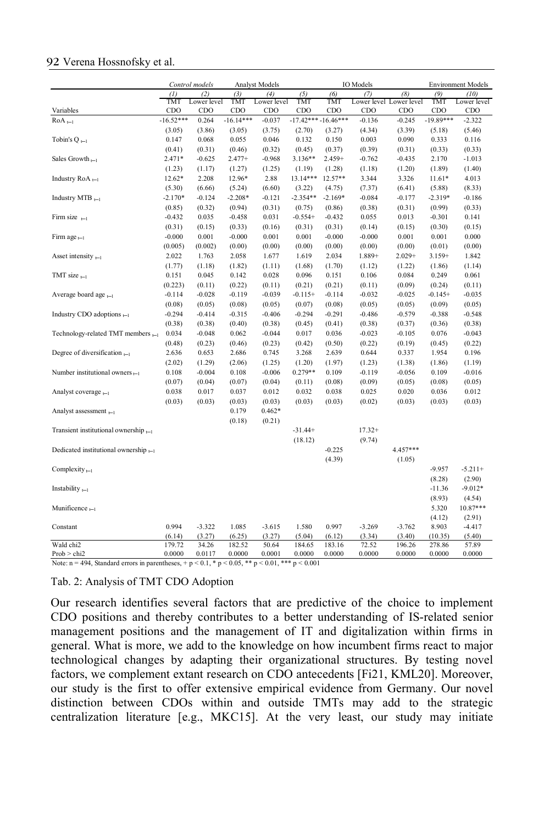#### 92 Verena Hossnofsky et al.

|                                                                                                  |             | Control models |             | <b>Analyst Models</b> |                      |           | IO Models               |           |             | <b>Environment Models</b> |
|--------------------------------------------------------------------------------------------------|-------------|----------------|-------------|-----------------------|----------------------|-----------|-------------------------|-----------|-------------|---------------------------|
|                                                                                                  | (1)         | (2)            | (3)         | (4)                   | (5)                  | (6)       | (7)                     | (8)       | (9)         | (10)                      |
|                                                                                                  | TMT         | Lower level    | TMT         | Lower level           | TMT                  | TMT       | Lower level Lower level |           | TMT         | Lower level               |
| Variables                                                                                        | CDO         | CDO            | CDO         | CDO                   | CDO                  | CDO       | CDO                     | CDO       | CDO         | CDO                       |
| $RoA_{t-1}$                                                                                      | $-16.52***$ | 0.264          | $-16.14***$ | $-0.037$              | $-17.42***-16.46***$ |           | $-0.136$                | $-0.245$  | $-19.89***$ | $-2.322$                  |
|                                                                                                  | (3.05)      | (3.86)         | (3.05)      | (3.75)                | (2.70)               | (3.27)    | (4.34)                  | (3.39)    | (5.18)      | (5.46)                    |
| Tobin's Q $_{t-1}$                                                                               | 0.147       | 0.068          | 0.055       | 0.046                 | 0.132                | 0.150     | 0.003                   | 0.090     | 0.333       | 0.116                     |
|                                                                                                  | (0.41)      | (0.31)         | (0.46)      | (0.32)                | (0.45)               | (0.37)    | (0.39)                  | (0.31)    | (0.33)      | (0.33)                    |
| Sales Growth $_{t-1}$                                                                            | $2.471*$    | $-0.625$       | $2.477+$    | $-0.968$              | $3.136**$            | $2.459+$  | $-0.762$                | -0.435    | 2.170       | $-1.013$                  |
|                                                                                                  | (1.23)      | (1.17)         | (1.27)      | (1.25)                | (1.19)               | (1.28)    | (1.18)                  | (1.20)    | (1.89)      | (1.40)                    |
| Industry $RoA_{n-1}$                                                                             | 12.62*      | 2.208          | 12.96*      | 2.88                  | 13.14***             | $12.57**$ | 3.344                   | 3.326     | $11.61*$    | 4.013                     |
|                                                                                                  | (5.30)      | (6.66)         | (5.24)      | (6.60)                | (3.22)               | (4.75)    | (7.37)                  | (6.41)    | (5.88)      | (8.33)                    |
| Industry MTB $_{t-1}$                                                                            | $-2.170*$   | $-0.124$       | $-2.208*$   | $-0.121$              | $-2.354**$           | $-2.169*$ | $-0.084$                | $-0.177$  | $-2.319*$   | $-0.186$                  |
|                                                                                                  | (0.85)      | (0.32)         | (0.94)      | (0.31)                | (0.75)               | (0.86)    | (0.38)                  | (0.31)    | (0.99)      | (0.33)                    |
| Firm size $_{t-1}$                                                                               | $-0.432$    | 0.035          | $-0.458$    | 0.031                 | $-0.554+$            | $-0.432$  | 0.055                   | 0.013     | $-0.301$    | 0.141                     |
|                                                                                                  | (0.31)      | (0.15)         | (0.33)      | (0.16)                | (0.31)               | (0.31)    | (0.14)                  | (0.15)    | (0.30)      | (0.15)                    |
| Firm age $_{t-1}$                                                                                | $-0.000$    | 0.001          | $-0.000$    | 0.001                 | 0.001                | $-0.000$  | $-0.000$                | 0.001     | 0.001       | 0.000                     |
|                                                                                                  | (0.005)     | (0.002)        | (0.00)      | (0.00)                | (0.00)               | (0.00)    | (0.00)                  | (0.00)    | (0.01)      | (0.00)                    |
| Asset intensity $_{t-1}$                                                                         | 2.022       | 1.763          | 2.058       | 1.677                 | 1.619                | 2.034     | $1.889+$                | $2.029 +$ | $3.159+$    | 1.842                     |
|                                                                                                  | (1.77)      | (1.18)         | (1.82)      | (1.11)                | (1.68)               | (1.70)    | (1.12)                  | (1.22)    | (1.86)      | (1.14)                    |
| TMT size $_{t-1}$                                                                                | 0.151       | 0.045          | 0.142       | 0.028                 | 0.096                | 0.151     | 0.106                   | 0.084     | 0.249       | 0.061                     |
|                                                                                                  | (0.223)     | (0.11)         | (0.22)      | (0.11)                | (0.21)               | (0.21)    | (0.11)                  | (0.09)    | (0.24)      | (0.11)                    |
| Average board age $_{t-1}$                                                                       | $-0.114$    | $-0.028$       | $-0.119$    | $-0.039$              | $-0.115+$            | $-0.114$  | $-0.032$                | $-0.025$  | $-0.145+$   | $-0.035$                  |
|                                                                                                  | (0.08)      | (0.05)         | (0.08)      | (0.05)                | (0.07)               | (0.08)    | (0.05)                  | (0.05)    | (0.09)      | (0.05)                    |
| Industry CDO adoptions $_{t=1}$                                                                  | $-0.294$    | $-0.414$       | $-0.315$    | $-0.406$              | $-0.294$             | $-0.291$  | $-0.486$                | $-0.579$  | $-0.388$    | $-0.548$                  |
|                                                                                                  | (0.38)      | (0.38)         | (0.40)      | (0.38)                | (0.45)               | (0.41)    | (0.38)                  | (0.37)    | (0.36)      | (0.38)                    |
| Technology-related TMT members $_{t-1}$                                                          | 0.034       | $-0.048$       | 0.062       | $-0.044$              | 0.017                | 0.036     | $-0.023$                | $-0.105$  | 0.076       | $-0.043$                  |
|                                                                                                  | (0.48)      | (0.23)         | (0.46)      | (0.23)                | (0.42)               | (0.50)    | (0.22)                  | (0.19)    | (0.45)      | (0.22)                    |
| Degree of diversification $_{t-1}$                                                               | 2.636       | 0.653          | 2.686       | 0.745                 | 3.268                | 2.639     | 0.644                   | 0.337     | 1.954       | 0.196                     |
|                                                                                                  | (2.02)      | (1.29)         | (2.06)      | (1.25)                | (1.20)               | (1.97)    | (1.23)                  | (1.38)    | (1.86)      | (1.19)                    |
| Number institutional owners $_{t-1}$                                                             | 0.108       | $-0.004$       | 0.108       | $-0.006$              | $0.279**$            | 0.109     | $-0.119$                | $-0.056$  | 0.109       | $-0.016$                  |
|                                                                                                  | (0.07)      | (0.04)         | (0.07)      | (0.04)                | (0.11)               | (0.08)    | (0.09)                  | (0.05)    | (0.08)      | (0.05)                    |
| Analyst coverage $_{t-1}$                                                                        | 0.038       | 0.017          | 0.037       | 0.012                 | 0.032                | 0.038     | 0.025                   | 0.020     | 0.036       | 0.012                     |
|                                                                                                  | (0.03)      | (0.03)         | (0.03)      | (0.03)                | (0.03)               | (0.03)    | (0.02)                  | (0.03)    | (0.03)      | (0.03)                    |
| Analyst assessment $_{t=1}$                                                                      |             |                | 0.179       | $0.462*$              |                      |           |                         |           |             |                           |
|                                                                                                  |             |                | (0.18)      | (0.21)                |                      |           |                         |           |             |                           |
| Transient institutional ownership $_{t-1}$                                                       |             |                |             |                       | $-31.44+$            |           | $17.32+$                |           |             |                           |
|                                                                                                  |             |                |             |                       | (18.12)              |           | (9.74)                  |           |             |                           |
| Dedicated institutional ownership $_{i=1}$                                                       |             |                |             |                       |                      | $-0.225$  |                         | 4.457***  |             |                           |
|                                                                                                  |             |                |             |                       |                      | (4.39)    |                         | (1.05)    |             |                           |
| Complexity $_{t-1}$                                                                              |             |                |             |                       |                      |           |                         |           | $-9.957$    | $-5.211+$                 |
|                                                                                                  |             |                |             |                       |                      |           |                         |           | (8.28)      | (2.90)                    |
| Instability $_{t-1}$                                                                             |             |                |             |                       |                      |           |                         |           | $-11.36$    | $-9.012*$                 |
|                                                                                                  |             |                |             |                       |                      |           |                         |           | (8.93)      | (4.54)                    |
| Munificence <sub>t-1</sub>                                                                       |             |                |             |                       |                      |           |                         |           | 5.320       | $10.87***$                |
|                                                                                                  |             |                |             |                       |                      |           |                         |           | (4.12)      | (2.91)                    |
| Constant                                                                                         | 0.994       | $-3.322$       | 1.085       | $-3.615$              | 1.580                | 0.997     | $-3.269$                | $-3.762$  | 8.903       | -4.417                    |
|                                                                                                  | (6.14)      | (3.27)         | (6.25)      | (3.27)                | (5.04)               | (6.12)    | (3.34)                  | (3.40)    | (10.35)     | (5.40)                    |
| Wald chi2                                                                                        | 179.72      | 34.26          | 182.52      | 50.64                 | 184.65               | 183.16    | 72.52                   | 196.26    | 278.86      | 57.89                     |
| Prob > chi2                                                                                      | 0.0000      | 0.0117         | 0.0000      | 0.0001                | 0.0000               | 0.0000    | 0.0000                  | 0.0000    | 0.0000      | 0.0000                    |
| Note: n = 494, Standard errors in parentheses, + p < 0.1, * p < 0.05, ** p < 0.01, *** p < 0.001 |             |                |             |                       |                      |           |                         |           |             |                           |

Tab. 2: Analysis of TMT CDO Adoption

Our research identifies several factors that are predictive of the choice to implement CDO positions and thereby contributes to a better understanding of IS-related senior management positions and the management of IT and digitalization within firms in general. What is more, we add to the knowledge on how incumbent firms react to major technological changes by adapting their organizational structures. By testing novel factors, we complement extant research on CDO antecedents [Fi21, KML20]. Moreover, our study is the first to offer extensive empirical evidence from Germany. Our novel distinction between CDOs within and outside TMTs may add to the strategic centralization literature [e.g., MKC15]. At the very least, our study may initiate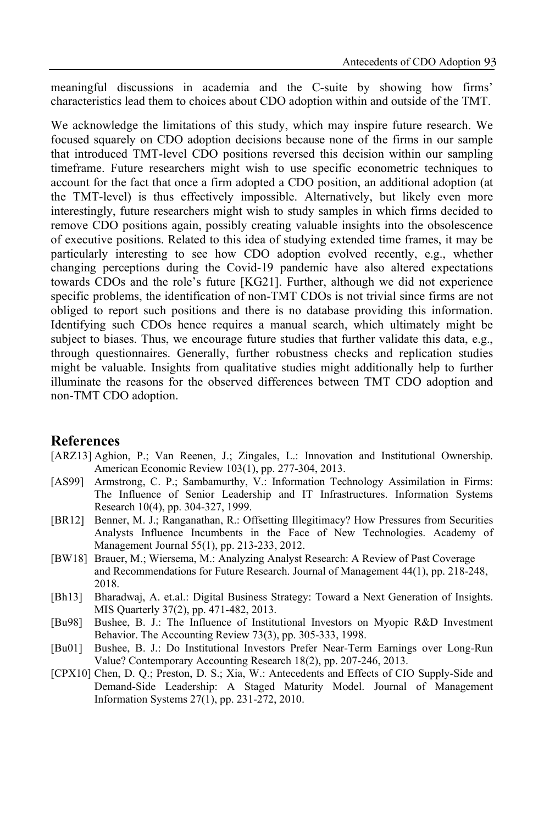meaningful discussions in academia and the C-suite by showing how firms' characteristics lead them to choices about CDO adoption within and outside of the TMT.

We acknowledge the limitations of this study, which may inspire future research. We focused squarely on CDO adoption decisions because none of the firms in our sample that introduced TMT-level CDO positions reversed this decision within our sampling timeframe. Future researchers might wish to use specific econometric techniques to account for the fact that once a firm adopted a CDO position, an additional adoption (at the TMT-level) is thus effectively impossible. Alternatively, but likely even more interestingly, future researchers might wish to study samples in which firms decided to remove CDO positions again, possibly creating valuable insights into the obsolescence of executive positions. Related to this idea of studying extended time frames, it may be particularly interesting to see how CDO adoption evolved recently, e.g., whether changing perceptions during the Covid-19 pandemic have also altered expectations towards CDOs and the role's future [KG21]. Further, although we did not experience specific problems, the identification of non-TMT CDOs is not trivial since firms are not obliged to report such positions and there is no database providing this information. Identifying such CDOs hence requires a manual search, which ultimately might be subject to biases. Thus, we encourage future studies that further validate this data, e.g., through questionnaires. Generally, further robustness checks and replication studies might be valuable. Insights from qualitative studies might additionally help to further illuminate the reasons for the observed differences between TMT CDO adoption and non-TMT CDO adoption.

#### References

- [ARZ13] Aghion, P.; Van Reenen, J.; Zingales, L.: Innovation and Institutional Ownership. American Economic Review 103(1), pp. 277-304, 2013.
- [AS99] Armstrong, C. P.; Sambamurthy, V.: Information Technology Assimilation in Firms: The Influence of Senior Leadership and IT Infrastructures. Information Systems Research 10(4), pp. 304-327, 1999.
- [BR12] Benner, M. J.; Ranganathan, R.: Offsetting Illegitimacy? How Pressures from Securities Analysts Influence Incumbents in the Face of New Technologies. Academy of Management Journal 55(1), pp. 213-233, 2012.
- [BW18] Brauer, M.; Wiersema, M.: Analyzing Analyst Research: A Review of Past Coverage and Recommendations for Future Research. Journal of Management 44(1), pp. 218-248, 2018.
- [Bh13] Bharadwaj, A. et.al.: Digital Business Strategy: Toward a Next Generation of Insights. MIS Quarterly 37(2), pp. 471-482, 2013.
- [Bu98] Bushee, B. J.: The Influence of Institutional Investors on Myopic R&D Investment Behavior. The Accounting Review 73(3), pp. 305-333, 1998.
- [Bu01] Bushee, B. J.: Do Institutional Investors Prefer Near-Term Earnings over Long-Run Value? Contemporary Accounting Research 18(2), pp. 207-246, 2013.
- [CPX10] Chen, D. Q.; Preston, D. S.; Xia, W.: Antecedents and Effects of CIO Supply-Side and Demand-Side Leadership: A Staged Maturity Model. Journal of Management Information Systems 27(1), pp. 231-272, 2010.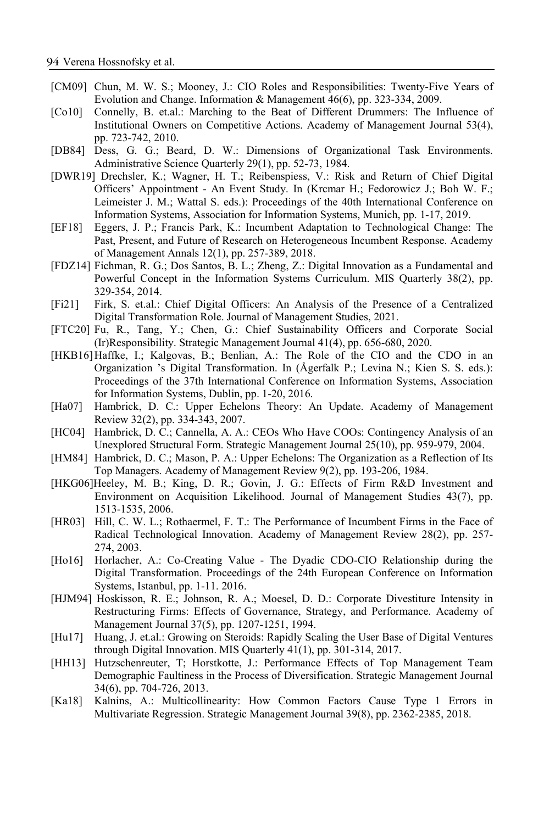- [CM09] Chun, M. W. S.; Mooney, J.: CIO Roles and Responsibilities: Twenty-Five Years of Evolution and Change. Information & Management 46(6), pp. 323-334, 2009.
- [Co10] Connelly, B. et.al.: Marching to the Beat of Different Drummers: The Influence of Institutional Owners on Competitive Actions. Academy of Management Journal 53(4), pp. 723-742, 2010.
- [DB84] Dess, G. G.; Beard, D. W.: Dimensions of Organizational Task Environments. Administrative Science Quarterly 29(1), pp. 52-73, 1984.
- [DWR19] Drechsler, K.; Wagner, H. T.; Reibenspiess, V.: Risk and Return of Chief Digital Officers' Appointment - An Event Study. In (Krcmar H.; Fedorowicz J.; Boh W. F.; Leimeister J. M.; Wattal S. eds.): Proceedings of the 40th International Conference on Information Systems, Association for Information Systems, Munich, pp. 1-17, 2019.
- [EF18] Eggers, J. P.; Francis Park, K.: Incumbent Adaptation to Technological Change: The Past, Present, and Future of Research on Heterogeneous Incumbent Response. Academy of Management Annals 12(1), pp. 257-389, 2018.
- [FDZ14] Fichman, R. G.; Dos Santos, B. L.; Zheng, Z.: Digital Innovation as a Fundamental and Powerful Concept in the Information Systems Curriculum. MIS Quarterly 38(2), pp. 329-354, 2014.
- [Fi21] Firk, S. et.al.: Chief Digital Officers: An Analysis of the Presence of a Centralized Digital Transformation Role. Journal of Management Studies, 2021.
- [FTC20] Fu, R., Tang, Y.; Chen, G.: Chief Sustainability Officers and Corporate Social (Ir)Responsibility. Strategic Management Journal 41(4), pp. 656-680, 2020.
- [HKB16] Haffke, I.; Kalgovas, B.; Benlian, A.: The Role of the CIO and the CDO in an Organization 's Digital Transformation. In (Ågerfalk P.; Levina N.; Kien S. S. eds.): Proceedings of the 37th International Conference on Information Systems, Association for Information Systems, Dublin, pp. 1-20, 2016.
- [Ha07] Hambrick, D. C.: Upper Echelons Theory: An Update. Academy of Management Review 32(2), pp. 334-343, 2007.
- [HC04] Hambrick, D. C.; Cannella, A. A.: CEOs Who Have COOs: Contingency Analysis of an Unexplored Structural Form. Strategic Management Journal 25(10), pp. 959-979, 2004.
- [HM84] Hambrick, D. C.; Mason, P. A.: Upper Echelons: The Organization as a Reflection of Its Top Managers. Academy of Management Review 9(2), pp. 193-206, 1984.
- [HKG06]Heeley, M. B.; King, D. R.; Govin, J. G.: Effects of Firm R&D Investment and Environment on Acquisition Likelihood. Journal of Management Studies 43(7), pp. 1513-1535, 2006.
- [HR03] Hill, C. W. L.; Rothaermel, F. T.: The Performance of Incumbent Firms in the Face of Radical Technological Innovation. Academy of Management Review 28(2), pp. 257- 274, 2003.
- [Ho16] Horlacher, A.: Co-Creating Value The Dyadic CDO-CIO Relationship during the Digital Transformation. Proceedings of the 24th European Conference on Information Systems, Istanbul, pp. 1-11. 2016.
- [HJM94] Hoskisson, R. E.; Johnson, R. A.; Moesel, D. D.: Corporate Divestiture Intensity in Restructuring Firms: Effects of Governance, Strategy, and Performance. Academy of Management Journal 37(5), pp. 1207-1251, 1994.
- [Hu17] Huang, J. et.al.: Growing on Steroids: Rapidly Scaling the User Base of Digital Ventures through Digital Innovation. MIS Quarterly 41(1), pp. 301-314, 2017.
- [HH13] Hutzschenreuter, T; Horstkotte, J.: Performance Effects of Top Management Team Demographic Faultiness in the Process of Diversification. Strategic Management Journal 34(6), pp. 704-726, 2013.
- [Ka18] Kalnins, A.: Multicollinearity: How Common Factors Cause Type 1 Errors in Multivariate Regression. Strategic Management Journal 39(8), pp. 2362-2385, 2018.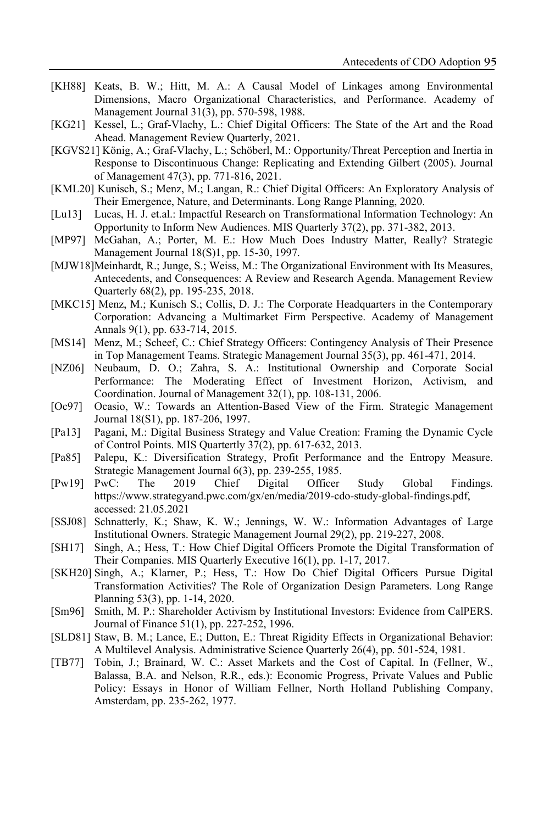- [KH88] Keats, B. W.; Hitt, M. A.: A Causal Model of Linkages among Environmental Dimensions, Macro Organizational Characteristics, and Performance. Academy of Management Journal 31(3), pp. 570-598, 1988.
- [KG21] Kessel, L.; Graf-Vlachy, L.: Chief Digital Officers: The State of the Art and the Road Ahead. Management Review Quarterly, 2021.
- [KGVS21] König, A.; Graf-Vlachy, L.; Schöberl, M.: Opportunity/Threat Perception and Inertia in Response to Discontinuous Change: Replicating and Extending Gilbert (2005). Journal of Management 47(3), pp. 771-816, 2021.
- [KML20] Kunisch, S.; Menz, M.; Langan, R.: Chief Digital Officers: An Exploratory Analysis of Their Emergence, Nature, and Determinants. Long Range Planning, 2020.
- [Lu13] Lucas, H. J. et.al.: Impactful Research on Transformational Information Technology: An Opportunity to Inform New Audiences. MIS Quarterly 37(2), pp. 371-382, 2013.
- [MP97] McGahan, A.; Porter, M. E.: How Much Does Industry Matter, Really? Strategic Management Journal 18(S)1, pp. 15-30, 1997.
- [MJW18] Meinhardt, R.; Junge, S.; Weiss, M.: The Organizational Environment with Its Measures, Antecedents, and Consequences: A Review and Research Agenda. Management Review Quarterly 68(2), pp. 195-235, 2018.
- [MKC15] Menz, M.; Kunisch S.; Collis, D. J.: The Corporate Headquarters in the Contemporary Corporation: Advancing a Multimarket Firm Perspective. Academy of Management Annals 9(1), pp. 633-714, 2015.
- [MS14] Menz, M.; Scheef, C.: Chief Strategy Officers: Contingency Analysis of Their Presence in Top Management Teams. Strategic Management Journal 35(3), pp. 461-471, 2014.
- [NZ06] Neubaum, D. O.; Zahra, S. A.: Institutional Ownership and Corporate Social Performance: The Moderating Effect of Investment Horizon, Activism, and Coordination. Journal of Management 32(1), pp. 108-131, 2006.
- [Oc97] Ocasio, W.: Towards an Attention-Based View of the Firm. Strategic Management Journal 18(S1), pp. 187-206, 1997.
- [Pa13] Pagani, M.: Digital Business Strategy and Value Creation: Framing the Dynamic Cycle of Control Points. MIS Quartertly 37(2), pp. 617-632, 2013.
- [Pa85] Palepu, K.: Diversification Strategy, Profit Performance and the Entropy Measure. Strategic Management Journal 6(3), pp. 239-255, 1985.
- [Pw19] PwC: The 2019 Chief Digital Officer Study Global Findings. https://www.strategyand.pwc.com/gx/en/media/2019-cdo-study-global-findings.pdf, accessed: 21.05.2021
- [SSJ08] Schnatterly, K.; Shaw, K. W.; Jennings, W. W.: Information Advantages of Large Institutional Owners. Strategic Management Journal 29(2), pp. 219-227, 2008.
- [SH17] Singh, A.; Hess, T.: How Chief Digital Officers Promote the Digital Transformation of Their Companies. MIS Quarterly Executive 16(1), pp. 1-17, 2017.
- [SKH20] Singh, A.; Klarner, P.; Hess, T.: How Do Chief Digital Officers Pursue Digital Transformation Activities? The Role of Organization Design Parameters. Long Range Planning 53(3), pp. 1-14, 2020.
- [Sm96] Smith, M. P.: Shareholder Activism by Institutional Investors: Evidence from CalPERS. Journal of Finance 51(1), pp. 227-252, 1996.
- [SLD81] Staw, B. M.; Lance, E.; Dutton, E.: Threat Rigidity Effects in Organizational Behavior: A Multilevel Analysis. Administrative Science Quarterly 26(4), pp. 501-524, 1981.
- [TB77] Tobin, J.; Brainard, W. C.: Asset Markets and the Cost of Capital. In (Fellner, W., Balassa, B.A. and Nelson, R.R., eds.): Economic Progress, Private Values and Public Policy: Essays in Honor of William Fellner, North Holland Publishing Company, Amsterdam, pp. 235-262, 1977.